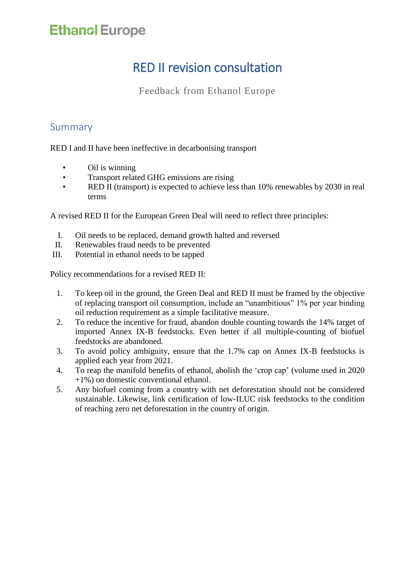## RED II revision consultation

Feedback from Ethanol Europe

### Summary

RED I and II have been ineffective in decarbonising transport

- Oil is winning
- Transport related GHG emissions are rising
- RED II (transport) is expected to achieve less than 10% renewables by 2030 in real terms

A revised RED II for the European Green Deal will need to reflect three principles:

- I. Oil needs to be replaced, demand growth halted and reversed
- II. Renewables fraud needs to be prevented
- III. Potential in ethanol needs to be tapped

Policy recommendations for a revised RED II:

- 1. To keep oil in the ground, the Green Deal and RED II must be framed by the objective of replacing transport oil consumption, include an "unambitious" 1% per year binding oil reduction requirement as a simple facilitative measure.
- 2. To reduce the incentive for fraud, abandon double counting towards the 14% target of imported Annex IX-B feedstocks. Even better if all multiple-counting of biofuel feedstocks are abandoned.
- 3. To avoid policy ambiguity, ensure that the 1.7% cap on Annex IX-B feedstocks is applied each year from 2021.
- 4. To reap the manifold benefits of ethanol, abolish the 'crop cap' (volume used in 2020 +1%) on domestic conventional ethanol.
- 5. Any biofuel coming from a country with net deforestation should not be considered sustainable. Likewise, link certification of low-ILUC risk feedstocks to the condition of reaching zero net deforestation in the country of origin.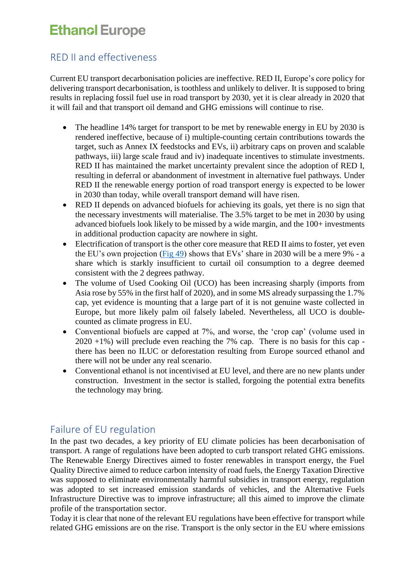### RED II and effectiveness

Current EU transport decarbonisation policies are ineffective. RED II, Europe's core policy for delivering transport decarbonisation, is toothless and unlikely to deliver. It is supposed to bring results in replacing fossil fuel use in road transport by 2030, yet it is clear already in 2020 that it will fail and that transport oil demand and GHG emissions will continue to rise.

- The headline 14% target for transport to be met by renewable energy in EU by 2030 is rendered ineffective, because of i) multiple-counting certain contributions towards the target, such as Annex IX feedstocks and EVs, ii) arbitrary caps on proven and scalable pathways, iii) large scale fraud and iv) inadequate incentives to stimulate investments. RED II has maintained the market uncertainty prevalent since the adoption of RED I, resulting in deferral or abandonment of investment in alternative fuel pathways. Under RED II the renewable energy portion of road transport energy is expected to be lower in 2030 than today, while overall transport demand will have risen.
- RED II depends on advanced biofuels for achieving its goals, yet there is no sign that the necessary investments will materialise. The 3.5% target to be met in 2030 by using advanced biofuels look likely to be missed by a wide margin, and the 100+ investments in additional production capacity are nowhere in sight.
- Electrification of transport is the other core measure that RED II aims to foster, yet even the EU's own projection [\(Fig 49\)](https://ec.europa.eu/clima/sites/clima/files/docs/pages/com_2018_733_analysis_in_support_en_0.pdf) shows that EVs' share in 2030 will be a mere 9% - a share which is starkly insufficient to curtail oil consumption to a degree deemed consistent with the 2 degrees pathway.
- The volume of Used Cooking Oil (UCO) has been increasing sharply (imports from Asia rose by 55% in the first half of 2020), and in some MS already surpassing the 1.7% cap, yet evidence is mounting that a large part of it is not genuine waste collected in Europe, but more likely palm oil falsely labeled. Nevertheless, all UCO is doublecounted as climate progress in EU.
- Conventional biofuels are capped at 7%, and worse, the 'crop cap' (volume used in  $2020 +1\%$ ) will preclude even reaching the 7% cap. There is no basis for this cap there has been no ILUC or deforestation resulting from Europe sourced ethanol and there will not be under any real scenario.
- Conventional ethanol is not incentivised at EU level, and there are no new plants under construction. Investment in the sector is stalled, forgoing the potential extra benefits the technology may bring.

### Failure of EU regulation

In the past two decades, a key priority of EU climate policies has been decarbonisation of transport. A range of regulations have been adopted to curb transport related GHG emissions. The Renewable Energy Directives aimed to foster renewables in transport energy, the Fuel Quality Directive aimed to reduce carbon intensity of road fuels, the Energy Taxation Directive was supposed to eliminate environmentally harmful subsidies in transport energy, regulation was adopted to set increased emission standards of vehicles, and the Alternative Fuels Infrastructure Directive was to improve infrastructure; all this aimed to improve the climate profile of the transportation sector.

Today it is clear that none of the relevant EU regulations have been effective for transport while related GHG emissions are on the rise. Transport is the only sector in the EU where emissions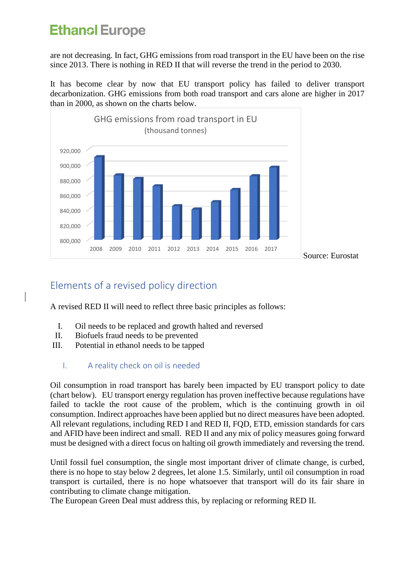are not decreasing. In fact, GHG emissions from road transport in the EU have been on the rise since 2013. There is nothing in RED II that will reverse the trend in the period to 2030.

It has become clear by now that EU transport policy has failed to deliver transport decarbonization. GHG emissions from both road transport and cars alone are higher in 2017 than in 2000, as shown on the charts below.



### Elements of a revised policy direction

A revised RED II will need to reflect three basic principles as follows:

- I. Oil needs to be replaced and growth halted and reversed
- II. Biofuels fraud needs to be prevented
- III. Potential in ethanol needs to be tapped
	- I. A reality check on oil is needed

Oil consumption in road transport has barely been impacted by EU transport policy to date (chart below). EU transport energy regulation has proven ineffective because regulations have failed to tackle the root cause of the problem, which is the continuing growth in oil consumption. Indirect approaches have been applied but no direct measures have been adopted. All relevant regulations, including RED I and RED II, FQD, ETD, emission standards for cars and AFID have been indirect and small. RED II and any mix of policy measures going forward must be designed with a direct focus on halting oil growth immediately and reversing the trend.

Until fossil fuel consumption, the single most important driver of climate change, is curbed, there is no hope to stay below 2 degrees, let alone 1.5. Similarly, until oil consumption in road transport is curtailed, there is no hope whatsoever that transport will do its fair share in contributing to climate change mitigation.

The European Green Deal must address this, by replacing or reforming RED II.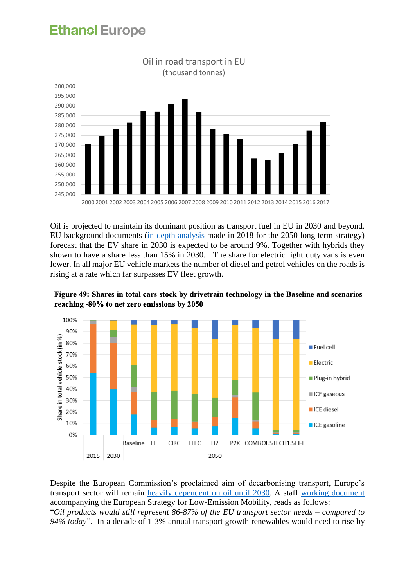

Oil is projected to maintain its dominant position as transport fuel in EU in 2030 and beyond. EU background documents [\(in-depth analysis](https://ec.europa.eu/clima/sites/clima/files/docs/pages/com_2018_733_analysis_in_support_en_0.pdf) made in 2018 for the 2050 long term strategy) forecast that the EV share in 2030 is expected to be around 9%. Together with hybrids they shown to have a share less than 15% in 2030. The share for electric light duty vans is even lower. In all major EU vehicle markets the number of diesel and petrol vehicles on the roads is rising at a rate which far surpasses EV fleet growth.





Despite the European Commission's proclaimed aim of decarbonising transport, Europe's transport sector will remain [heavily dependent on oil until 2030.](https://www.euractiv.com/section/transport/news/europes-oil-dependency-to-stick-to-transport-up-to-2030/) A staff [working document](https://ec.europa.eu/transport/sites/transport/files/themes/strategies/news/doc/2016-07-20-decarbonisation/swd%282016%29244.pdf) accompanying the European Strategy for Low-Emission Mobility, reads as follows: "*Oil products would still represent 86-87% of the EU transport sector needs – compared to 94% today*". In a decade of 1-3% annual transport growth renewables would need to rise by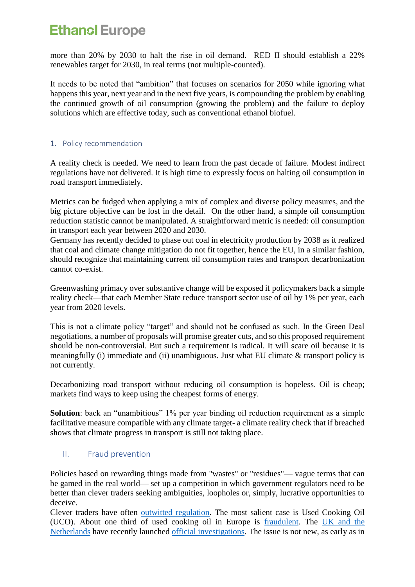more than 20% by 2030 to halt the rise in oil demand. RED II should establish a 22% renewables target for 2030, in real terms (not multiple-counted).

It needs to be noted that "ambition" that focuses on scenarios for 2050 while ignoring what happens this year, next year and in the next five years, is compounding the problem by enabling the continued growth of oil consumption (growing the problem) and the failure to deploy solutions which are effective today, such as conventional ethanol biofuel.

### 1. Policy recommendation

A reality check is needed. We need to learn from the past decade of failure. Modest indirect regulations have not delivered. It is high time to expressly focus on halting oil consumption in road transport immediately.

Metrics can be fudged when applying a mix of complex and diverse policy measures, and the big picture objective can be lost in the detail. On the other hand, a simple oil consumption reduction statistic cannot be manipulated. A straightforward metric is needed: oil consumption in transport each year between 2020 and 2030.

Germany has recently decided to phase out coal in electricity production by 2038 as it realized that coal and climate change mitigation do not fit together, hence the EU, in a similar fashion, should recognize that maintaining current oil consumption rates and transport decarbonization cannot co-exist.

Greenwashing primacy over substantive change will be exposed if policymakers back a simple reality check—that each Member State reduce transport sector use of oil by 1% per year, each year from 2020 levels.

This is not a climate policy "target" and should not be confused as such. In the Green Deal negotiations, a number of proposals will promise greater cuts, and so this proposed requirement should be non-controversial. But such a requirement is radical. It will scare oil because it is meaningfully (i) immediate and (ii) unambiguous. Just what EU climate & transport policy is not currently.

Decarbonizing road transport without reducing oil consumption is hopeless. Oil is cheap; markets find ways to keep using the cheapest forms of energy.

**Solution**: back an "unambitious" 1% per year binding oil reduction requirement as a simple facilitative measure compatible with any climate target- a climate reality check that if breached shows that climate progress in transport is still not taking place.

### II. Fraud prevention

Policies based on rewarding things made from "wastes" or "residues"— vague terms that can be gamed in the real world— set up a competition in which government regulators need to be better than clever traders seeking ambiguities, loopholes or, simply, lucrative opportunities to deceive.

Clever traders have often [outwitted regulation.](https://www.bbc.com/news/science-environment-48828490) The most salient case is Used Cooking Oil (UCO). About one third of used cooking oil in Europe is [fraudulent.](https://d.docs.live.net/e1fa4b110a136fa4/EERL/Green%20Deal%20RED2%20revision%20consultation%202020/one%20third%20of%20used%20cooking%20oil%20in%20Europe%20is%20fraudulent) The [UK and the](https://www.argusmedia.com/en/blog/2019/august/5/eu-waste-biodiesel-checks-and-balances)  [Netherlands](https://www.argusmedia.com/en/blog/2019/august/5/eu-waste-biodiesel-checks-and-balances) have recently launched [official investigations.](https://www.euractiv.com/section/agriculture-food/news/the-netherlands-mulls-end-to-used-cooking-oil-double-counting/) The issue is not new, as early as in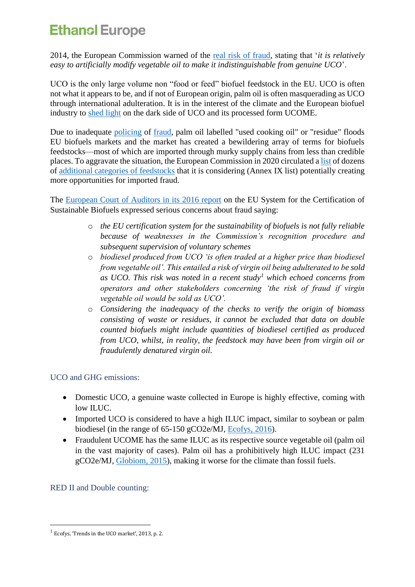2014, the European Commission warned of the [real risk of fraud,](https://ec.europa.eu/energy/sites/ener/files/documents/2014_letter_wastes_residues.pdf) stating that '*it is relatively easy to artificially modify vegetable oil to make it indistinguishable from genuine UCO*'.

UCO is the only large volume non "food or feed" biofuel feedstock in the EU. UCO is often not what it appears to be, and if not of European origin, palm oil is often masquerading as UCO through international adulteration. It is in the interest of the climate and the European biofuel industry to [shed light](https://www.nnfcc.co.uk/files/mydocs/UCO%20Report.pdf) on the dark side of UCO and its processed form UCOME.

Due to inadequate [policing](https://www.euractiv.com/section/agriculture-food/news/eu-lacks-complete-overview-about-used-cooking-oil-origins/) of [fraud,](https://www.euractiv.com/section/agriculture-food/news/eu-throws-the-ball-to-member-states-to-monitor-red-ii-implementation/) palm oil labelled "used cooking oil" or "residue" floods EU biofuels markets and the market has created a bewildering array of terms for biofuels feedstocks—most of which are imported through murky supply chains from less than credible places. To aggravate the situation, the European Commission in 2020 circulated [a list](https://www.euractiv.com/section/agriculture-food/news/questions-raised-over-eus-proposed-advanced-biofuels-list/) of dozens of [additional categories of feedstocks](https://www.euractiv.com/section/agriculture-food/news/commission-re-opens-controversial-advanced-biofuel-list-in-transport/) that it is considering (Annex IX list) potentially creating more opportunities for imported fraud.

The [European Court of Auditors in its 2016 report](https://www.eca.europa.eu/Lists/ECADocuments/SR16_18/SR_BIOFUELS_EN.pdf) on the EU System for the Certification of Sustainable Biofuels expressed serious concerns about fraud saying:

- o *the EU certification system for the sustainability of biofuels is not fully reliable because of weaknesses in the Commission's recognition procedure and subsequent supervision of voluntary schemes*
- o *biodiesel produced from UCO 'is often traded at a higher price than biodiesel from vegetable oil'. This entailed a risk of virgin oil being adulterated to be sold as UCO. This risk was noted in a recent study<sup>1</sup> which echoed concerns from operators and other stakeholders concerning 'the risk of fraud if virgin vegetable oil would be sold as UCO'.*
- o *Considering the inadequacy of the checks to verify the origin of biomass consisting of waste or residues, it cannot be excluded that data on double counted biofuels might include quantities of biodiesel certified as produced from UCO, whilst, in reality, the feedstock may have been from virgin oil or fraudulently denatured virgin oil.*

### UCO and GHG emissions:

- Domestic UCO, a genuine waste collected in Europe is highly effective, coming with low ILUC.
- Imported UCO is considered to have a high ILUC impact, similar to sovbean or palm biodiesel (in the range of 65-150 gCO2e/MJ, [Ecofys, 2016\)](https://epure.org/media/1418/ecofys-2016-low-carbon-biofuels-for-the-uk.pdf).
- Fraudulent UCOME has the same ILUC as its respective source vegetable oil (palm oil in the vast majority of cases). Palm oil has a prohibitively high ILUC impact (231 gCO2e/MJ, [Globiom, 2015\)](https://ec.europa.eu/energy/sites/ener/files/documents/Final%20Report_GLOBIOM_publication.pdf), making it worse for the climate than fossil fuels.

RED II and Double counting:

<sup>1</sup> <sup>1</sup> Ecofys, 'Trends in the UCO market', 2013, p. 2.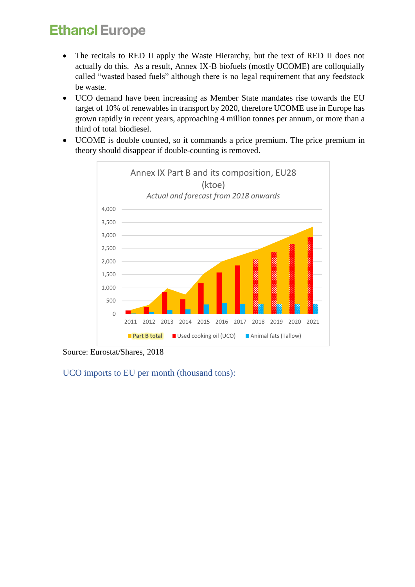- The recitals to RED II apply the Waste Hierarchy, but the text of RED II does not actually do this. As a result, Annex IX-B biofuels (mostly UCOME) are colloquially called "wasted based fuels" although there is no legal requirement that any feedstock be waste.
- UCO demand have been increasing as Member State mandates rise towards the EU target of 10% of renewables in transport by 2020, therefore UCOME use in Europe has grown rapidly in recent years, approaching 4 million tonnes per annum, or more than a third of total biodiesel.
- UCOME is double counted, so it commands a price premium. The price premium in theory should disappear if double-counting is removed.



Source: Eurostat/Shares, 2018

UCO imports to EU per month (thousand tons):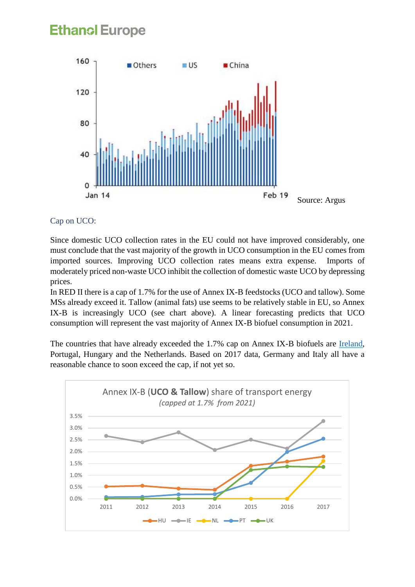

### Cap on UCO:

Since domestic UCO collection rates in the EU could not have improved considerably, one must conclude that the vast majority of the growth in UCO consumption in the EU comes from imported sources. Improving UCO collection rates means extra expense. Imports of moderately priced non-waste UCO inhibit the collection of domestic waste UCO by depressing prices.

In RED II there is a cap of 1.7% for the use of Annex IX-B feedstocks (UCO and tallow). Some MSs already exceed it. Tallow (animal fats) use seems to be relatively stable in EU, so Annex IX-B is increasingly UCO (see chart above). A linear forecasting predicts that UCO consumption will represent the vast majority of Annex IX-B biofuel consumption in 2021.

The countries that have already exceeded the 1.7% cap on Annex IX-B biofuels are [Ireland,](https://www.thetimes.co.uk/article/eu-curbs-used-cooking-oil-in-biodiesel-due-to-fears-of-fraud-f73jg66t7) Portugal, Hungary and the Netherlands. Based on 2017 data, Germany and Italy all have a reasonable chance to soon exceed the cap, if not yet so.

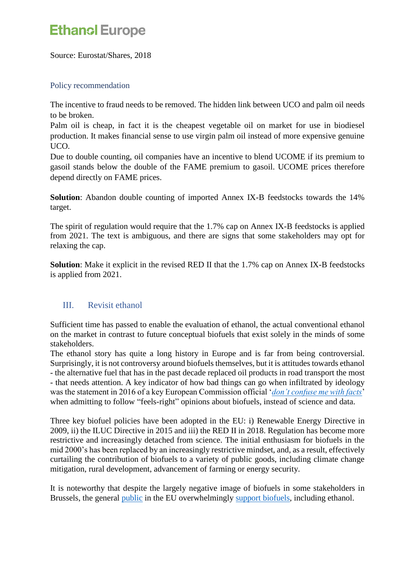Source: Eurostat/Shares, 2018

### Policy recommendation

The incentive to fraud needs to be removed. The hidden link between UCO and palm oil needs to be broken.

Palm oil is cheap, in fact it is the cheapest vegetable oil on market for use in biodiesel production. It makes financial sense to use virgin palm oil instead of more expensive genuine UCO.

Due to double counting, oil companies have an incentive to blend UCOME if its premium to gasoil stands below the double of the FAME premium to gasoil. UCOME prices therefore depend directly on FAME prices.

**Solution**: Abandon double counting of imported Annex IX-B feedstocks towards the 14% target.

The spirit of regulation would require that the 1.7% cap on Annex IX-B feedstocks is applied from 2021. The text is ambiguous, and there are signs that some stakeholders may opt for relaxing the cap.

**Solution**: Make it explicit in the revised RED II that the 1.7% cap on Annex IX-B feedstocks is applied from 2021.

### III. Revisit ethanol

Sufficient time has passed to enable the evaluation of ethanol, the actual conventional ethanol on the market in contrast to future conceptual biofuels that exist solely in the minds of some stakeholders.

The ethanol story has quite a long history in Europe and is far from being controversial. Surprisingly, it is not controversy around biofuels themselves, but it is attitudes towards ethanol - the alternative fuel that has in the past decade replaced oil products in road transport the most - that needs attention. A key indicator of how bad things can go when infiltrated by ideology was the statement in 2016 of a key European Commission official '*[don't confuse me with facts](https://www.euractiv.com/section/transport/news/commission-admits-policing-biofuels-according-to-public-opinion/)*' when admitting to follow "feels-right" opinions about biofuels, instead of science and data.

Three key biofuel policies have been adopted in the EU: i) Renewable Energy Directive in 2009, ii) the ILUC Directive in 2015 and iii) the RED II in 2018. Regulation has become more restrictive and increasingly detached from science. The initial enthusiasm for biofuels in the mid 2000's has been replaced by an increasingly restrictive mindset, and, as a result, effectively curtailing the contribution of biofuels to a variety of public goods, including climate change mitigation, rural development, advancement of farming or energy security.

It is noteworthy that despite the largely negative image of biofuels in some stakeholders in Brussels, the general [public](http://ec.europa.eu/commfrontoffice/publicopinion/archives/ebs/ebs_341_en.pdf) in the EU overwhelmingly [support biofuels,](https://epure.org/media/1501/170123-biofuels-opinion-survery-result-tables.pdf) including ethanol.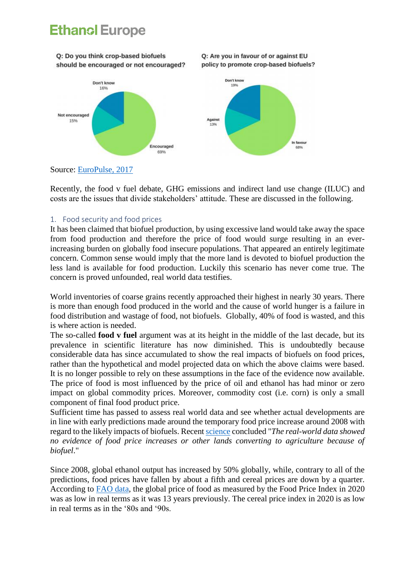Q: Do you think crop-based biofuels should be encouraged or not encouraged?





Source: [EuroPulse, 2017](https://epure.org/media/1501/170123-biofuels-opinion-survery-result-tables.pdf)

Recently, the food v fuel debate, GHG emissions and indirect land use change (ILUC) and costs are the issues that divide stakeholders' attitude. These are discussed in the following.

### 1. Food security and food prices

It has been claimed that biofuel production, by using excessive land would take away the space from food production and therefore the price of food would surge resulting in an everincreasing burden on globally food insecure populations. That appeared an entirely legitimate concern. Common sense would imply that the more land is devoted to biofuel production the less land is available for food production. Luckily this scenario has never come true. The concern is proved unfounded, real world data testifies.

World inventories of coarse grains recently approached their highest in nearly 30 years. There is more than enough food produced in the world and the cause of world hunger is a failure in food distribution and wastage of food, not biofuels. Globally, 40% of food is wasted, and this is where action is needed.

The so-called **food v fuel** argument was at its height in the middle of the last decade, but its prevalence in scientific literature has now diminished. This is undoubtedly because considerable data has since accumulated to show the real impacts of biofuels on food prices, rather than the hypothetical and model projected data on which the above claims were based. It is no longer possible to rely on these assumptions in the face of the evidence now available. The price of food is most influenced by the price of oil and ethanol has had minor or zero impact on global commodity prices. Moreover, commodity cost (i.e. corn) is only a small component of final food product price.

Sufficient time has passed to assess real world data and see whether actual developments are in line with early predictions made around the temporary food price increase around 2008 with regard to the likely impacts of biofuels. Recent [science](https://www.sciencedirect.com/science/article/pii/S0961953419300911#!) concluded "*The real-world data showed no evidence of food price increases or other lands converting to agriculture because of biofuel*."

Since 2008, global ethanol output has increased by 50% globally, while, contrary to all of the predictions, food prices have fallen by about a fifth and cereal prices are down by a quarter. According to [FAO data,](http://www.fao.org/fileadmin/templates/worldfood/Reports_and_docs/food_price_index_nominal_real_jul20.xls) the global price of food as measured by the Food Price Index in 2020 was as low in real terms as it was 13 years previously. The cereal price index in 2020 is as low in real terms as in the '80s and '90s.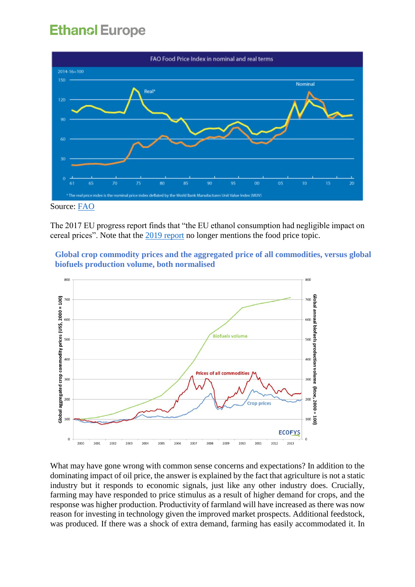

Source: [FAO](http://www.fao.org/worldfoodsituation/foodpricesindex/en/)

The 2017 EU progress report finds that "the EU ethanol consumption had negligible impact on cereal prices". Note that the [2019 report](https://ec.europa.eu/commission/sites/beta-political/files/report-progress-renewable-energy-april2019_en.pdf) no longer mentions the food price topic.

**Global crop commodity prices and the aggregated price of all commodities, versus global biofuels production volume, both normalised**



What may have gone wrong with common sense concerns and expectations? In addition to the dominating impact of oil price, the answer is explained by the fact that agriculture is not a static industry but it responds to economic signals, just like any other industry does. Crucially, farming may have responded to price stimulus as a result of higher demand for crops, and the response was higher production. Productivity of farmland will have increased as there was now reason for investing in technology given the improved market prospects. Additional feedstock, was produced. If there was a shock of extra demand, farming has easily accommodated it. In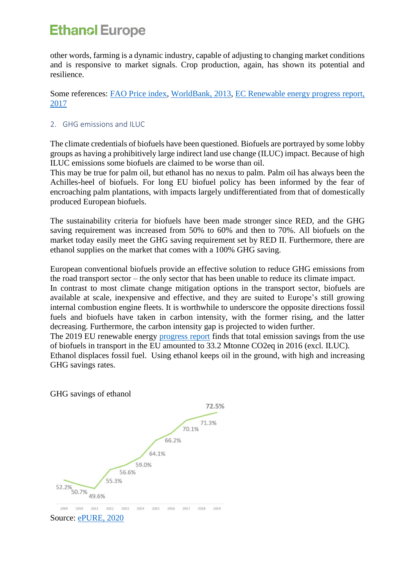other words, farming is a dynamic industry, capable of adjusting to changing market conditions and is responsive to market signals. Crop production, again, has shown its potential and resilience.

Some references: [FAO Price index,](http://www.fao.org/worldfoodsituation/foodpricesindex/en/) [WorldBank, 2013,](http://documents.worldbank.org/curated/en/832971468150565490/Long-term-drivers-of-food-prices) [EC Renewable energy progress report,](https://ec.europa.eu/priorities/sites/beta-political/files/report-renewable-energy_en.pdf)  [2017](https://ec.europa.eu/priorities/sites/beta-political/files/report-renewable-energy_en.pdf)

### 2. GHG emissions and ILUC

The climate credentials of biofuels have been questioned. Biofuels are portrayed by some lobby groups as having a prohibitively large indirect land use change (ILUC) impact. Because of high ILUC emissions some biofuels are claimed to be worse than oil.

This may be true for palm oil, but ethanol has no nexus to palm. Palm oil has always been the Achilles-heel of biofuels. For long EU biofuel policy has been informed by the fear of encroaching palm plantations, with impacts largely undifferentiated from that of domestically produced European biofuels.

The sustainability criteria for biofuels have been made stronger since RED, and the GHG saving requirement was increased from 50% to 60% and then to 70%. All biofuels on the market today easily meet the GHG saving requirement set by RED II. Furthermore, there are ethanol supplies on the market that comes with a 100% GHG saving.

European conventional biofuels provide an effective solution to reduce GHG emissions from the road transport sector – the only sector that has been unable to reduce its climate impact.

In contrast to most climate change mitigation options in the transport sector, biofuels are available at scale, inexpensive and effective, and they are suited to Europe's still growing internal combustion engine fleets. It is worthwhile to underscore the opposite directions fossil fuels and biofuels have taken in carbon intensity, with the former rising, and the latter decreasing. Furthermore, the carbon intensity gap is projected to widen further.

The 2019 EU renewable energy [progress report](https://ec.europa.eu/commission/sites/beta-political/files/report-progress-renewable-energy-april2019_en.pdf) finds that total emission savings from the use of biofuels in transport in the EU amounted to 33.2 Mtonne CO2eq in 2016 (excl. ILUC).

Ethanol displaces fossil fuel. Using ethanol keeps oil in the ground, with high and increasing GHG savings rates.

### GHG savings of ethanol



2010 2011 2012 2013 2014 2015 2016 2017 2018 2019

Source: [ePURE, 2020](https://www.epure.org/news-and-media/press-releases/greenhouse-gas-reduction-performance-of-eu-ethanol-reaches-new-high/)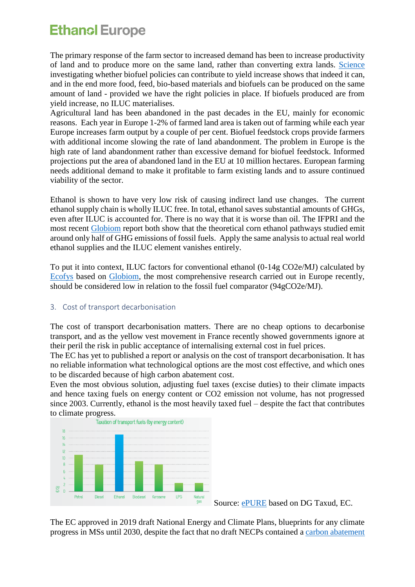The primary response of the farm sector to increased demand has been to increase productivity of land and to produce more on the same land, rather than converting extra lands. [Science](https://onlinelibrary.wiley.com/doi/epdf/10.1002/bbb.2011) investigating whether biofuel policies can contribute to yield increase shows that indeed it can, and in the end more food, feed, bio-based materials and biofuels can be produced on the same amount of land - provided we have the right policies in place. If biofuels produced are from yield increase, no ILUC materialises.

Agricultural land has been abandoned in the past decades in the EU, mainly for economic reasons. Each year in Europe 1-2% of farmed land area is taken out of farming while each year Europe increases farm output by a couple of per cent. Biofuel feedstock crops provide farmers with additional income slowing the rate of land abandonment. The problem in Europe is the high rate of land abandonment rather than excessive demand for biofuel feedstock. Informed projections put the area of abandoned land in the EU at 10 million hectares. European farming needs additional demand to make it profitable to farm existing lands and to assure continued viability of the sector.

Ethanol is shown to have very low risk of causing indirect land use changes. The current ethanol supply chain is wholly ILUC free. In total, ethanol saves substantial amounts of GHGs, even after ILUC is accounted for. There is no way that it is worse than oil. The IFPRI and the most recent [Globiom](https://ec.europa.eu/energy/sites/ener/files/documents/Final%20Report_GLOBIOM_publication.pdf) report both show that the theoretical corn ethanol pathways studied emit around only half of GHG emissions of fossil fuels. Apply the same analysis to actual real world ethanol supplies and the ILUC element vanishes entirely.

To put it into context, ILUC factors for conventional ethanol (0-14g CO2e/MJ) calculated by [Ecofys](https://www.farm-europe.eu/wp-content/uploads/2019/06/Ecofys2019_Transport-decarbonisation-2030-CEE.pdf) based on [Globiom,](https://ec.europa.eu/energy/sites/ener/files/documents/Final%20Report_GLOBIOM_publication.pdf) the most comprehensive research carried out in Europe recently, should be considered low in relation to the fossil fuel comparator (94gCO2e/MJ).

### 3. Cost of transport decarbonisation

The cost of transport decarbonisation matters. There are no cheap options to decarbonise transport, and as the yellow vest movement in France recently showed governments ignore at their peril the risk in public acceptance of internalising external cost in fuel prices.

The EC has yet to published a report or analysis on the cost of transport decarbonisation. It has no reliable information what technological options are the most cost effective, and which ones to be discarded because of high carbon abatement cost.

Even the most obvious solution, adjusting fuel taxes (excise duties) to their climate impacts and hence taxing fuels on energy content or CO2 emission not volume, has not progressed since 2003. Currently, ethanol is the most heavily taxed fuel – despite the fact that contributes to climate progress.



Source: **ePURE** based on DG Taxud, EC.

The EC approved in 2019 draft National Energy and Climate Plans, blueprints for any climate progress in MSs until 2030, despite the fact that no draft NECPs contained a [carbon abatement](https://www.farm-europe.eu/wp-content/uploads/2019/11/NECP-report_Farm-Europe-2019.pdf)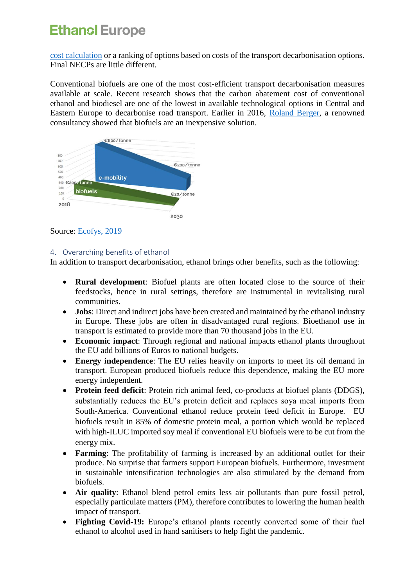[cost calculation](https://www.farm-europe.eu/wp-content/uploads/2019/11/NECP-report_Farm-Europe-2019.pdf) or a ranking of options based on costs of the transport decarbonisation options. Final NECPs are little different.

Conventional biofuels are one of the most cost-efficient transport decarbonisation measures available at scale. Recent research shows that the carbon abatement cost of conventional ethanol and biodiesel are one of the lowest in available technological options in Central and Eastern Europe to decarbonise road transport. Earlier in 2016, [Roland Berger,](https://www.rolandberger.com/en/Publications/pub_integrated_fuels_and_vehicles_roadmap_2030.html) a renowned consultancy showed that biofuels are an inexpensive solution.



Source: [Ecofys, 2019](https://www.farm-europe.eu/wp-content/uploads/2019/06/Ecofys2019_Transport-decarbonisation-2030-CEE.pdf)

### 4. Overarching benefits of ethanol

In addition to transport decarbonisation, ethanol brings other benefits, such as the following:

- **Rural development**: Biofuel plants are often located close to the source of their feedstocks, hence in rural settings, therefore are instrumental in revitalising rural communities.
- **Jobs**: Direct and indirect jobs have been created and maintained by the ethanol industry in Europe. These jobs are often in disadvantaged rural regions. Bioethanol use in transport is estimated to provide more than 70 thousand jobs in the EU.
- **Economic impact**: Through regional and national impacts ethanol plants throughout the EU add billions of Euros to national budgets.
- **Energy independence**: The EU relies heavily on imports to meet its oil demand in transport. European produced biofuels reduce this dependence, making the EU more energy independent.
- **Protein feed deficit**: Protein rich animal feed, co-products at biofuel plants (DDGS), substantially reduces the EU's protein deficit and replaces soya meal imports from South-America. Conventional ethanol reduce protein feed deficit in Europe. EU biofuels result in 85% of domestic protein meal, a portion which would be replaced with high-ILUC imported soy meal if conventional EU biofuels were to be cut from the energy mix.
- **Farming**: The profitability of farming is increased by an additional outlet for their produce. No surprise that farmers support European biofuels. Furthermore, investment in sustainable intensification technologies are also stimulated by the demand from biofuels.
- **Air quality**: Ethanol blend petrol emits less air pollutants than pure fossil petrol, especially particulate matters (PM), therefore contributes to lowering the human health impact of transport.
- **Fighting Covid-19:** Europe's ethanol plants recently converted some of their fuel ethanol to alcohol used in hand sanitisers to help fight the pandemic.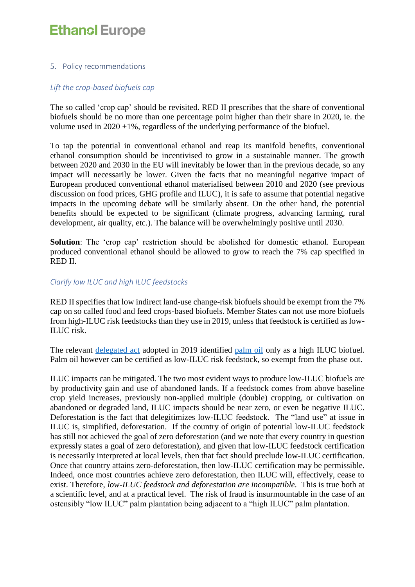#### 5. Policy recommendations

### *Lift the crop-based biofuels cap*

The so called 'crop cap' should be revisited. RED II prescribes that the share of conventional biofuels should be no more than one percentage point higher than their share in 2020, ie. the volume used in  $2020 +1\%$ , regardless of the underlying performance of the biofuel.

To tap the potential in conventional ethanol and reap its manifold benefits, conventional ethanol consumption should be incentivised to grow in a sustainable manner. The growth between 2020 and 2030 in the EU will inevitably be lower than in the previous decade, so any impact will necessarily be lower. Given the facts that no meaningful negative impact of European produced conventional ethanol materialised between 2010 and 2020 (see previous discussion on food prices, GHG profile and ILUC), it is safe to assume that potential negative impacts in the upcoming debate will be similarly absent. On the other hand, the potential benefits should be expected to be significant (climate progress, advancing farming, rural development, air quality, etc.). The balance will be overwhelmingly positive until 2030.

**Solution**: The 'crop cap' restriction should be abolished for domestic ethanol. European produced conventional ethanol should be allowed to grow to reach the 7% cap specified in RED II.

### *Clarify low ILUC and high ILUC feedstocks*

RED II specifies that low indirect land-use change-risk biofuels should be exempt from the 7% cap on so called food and feed crops-based biofuels. Member States can not use more biofuels from high-ILUC risk feedstocks than they use in 2019, unless that feedstock is certified as low-ILUC risk.

The relevant [delegated act](https://ec.europa.eu/energy/sites/ener/files/documents/2_en_act_part1_v3.pdf) adopted in 2019 identified [palm oil](https://ec.europa.eu/energy/sites/ener/files/documents/1_en_annexe_acte_autonome_part1_v6.pdf) only as a high ILUC biofuel. Palm oil however can be certified as low-ILUC risk feedstock, so exempt from the phase out.

ILUC impacts can be mitigated. The two most evident ways to produce low-ILUC biofuels are by productivity gain and use of abandoned lands. If a feedstock comes from above baseline crop yield increases, previously non-applied multiple (double) cropping, or cultivation on abandoned or degraded land, ILUC impacts should be near zero, or even be negative ILUC. Deforestation is the fact that delegitimizes low-ILUC feedstock. The "land use" at issue in ILUC is, simplified, deforestation. If the country of origin of potential low-ILUC feedstock has still not achieved the goal of zero deforestation (and we note that every country in question expressly states a goal of zero deforestation), and given that low-ILUC feedstock certification is necessarily interpreted at local levels, then that fact should preclude low-ILUC certification. Once that country attains zero-deforestation, then low-ILUC certification may be permissible. Indeed, once most countries achieve zero deforestation, then ILUC will, effectively, cease to exist. Therefore, *low-ILUC feedstock and deforestation are incompatible.* This is true both at a scientific level, and at a practical level. The risk of fraud is insurmountable in the case of an ostensibly "low ILUC" palm plantation being adjacent to a "high ILUC" palm plantation.